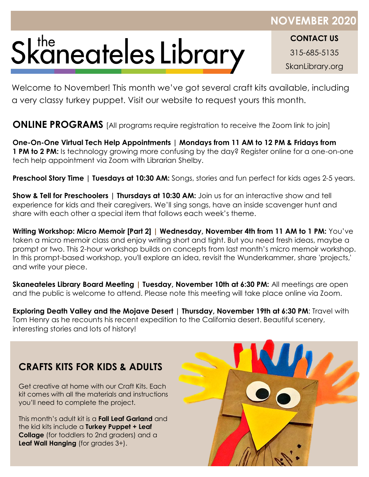## Skaneateles Library

**CONTACT US** 315-685-5135 SkanLibrary.org

Welcome to November! This month we've got several craft kits available, including a very classy turkey puppet. Visit our website to request yours this month.

**ONLINE PROGRAMS** [All programs require registration to receive the Zoom link to join]

**One-On-One Virtual Tech Help Appointments | Mondays from 11 AM to 12 PM & Fridays from 1 PM to 2 PM:** Is technology growing more confusing by the day? Register online for a one-on-one tech help appointment via Zoom with Librarian Shelby.

**Preschool Story Time | Tuesdays at 10:30 AM:** Songs, stories and fun perfect for kids ages 2-5 years.

**Show & Tell for Preschoolers | Thursdays at 10:30 AM:** Join us for an interactive show and tell experience for kids and their caregivers. We'll sing songs, have an inside scavenger hunt and share with each other a special item that follows each week's theme.

**Writing Workshop: Micro Memoir [Part 2] | Wednesday, November 4th from 11 AM to 1 PM:** You've taken a micro memoir class and enjoy writing short and tight. But you need fresh ideas, maybe a prompt or two. This 2-hour workshop builds on concepts from last month's micro memoir workshop. In this prompt-based workshop, you'll explore an idea, revisit the Wunderkammer, share 'projects,' and write your piece.

**Skaneateles Library Board Meeting | Tuesday, November 10th at 6:30 PM:** All meetings are open and the public is welcome to attend. Please note this meeting will take place online via Zoom.

**Exploring Death Valley and the Mojave Desert | Thursday, November 19th at 6:30 PM**: Travel with Tom Henry as he recounts his recent expedition to the California desert. Beautiful scenery, interesting stories and lots of history!

## **CRAFTS KITS FOR KIDS & ADULTS**

Get creative at home with our Craft Kits. Each kit comes with all the materials and instructions you'll need to complete the project.

This month's adult kit is a **Fall Leaf Garland** and the kid kits include a **Turkey Puppet + Leaf Collage** (for toddlers to 2nd graders) and a **Leaf Wall Hanging** (for grades 3+).